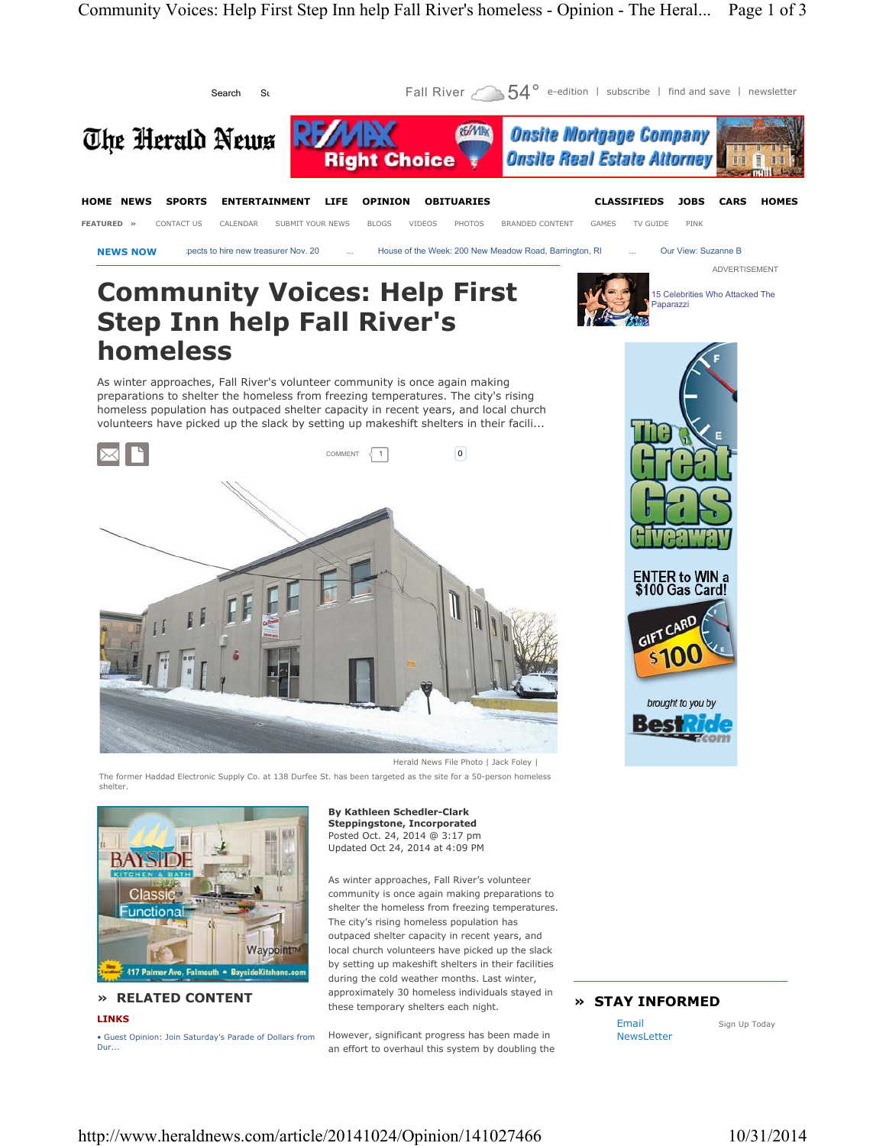

**» RELATED CONTENT LINKS**

• Guest Opinion: Join Saturday's Parade of Dollars from Dur...

during the cold weather months. Last winter, approximately 30 homeless individuals stayed in these temporary shelters each night.

However, significant progress has been made in an effort to overhaul this system by doubling the

# **» STAY INFORMED**

Email NewsLetter

Sign Up Today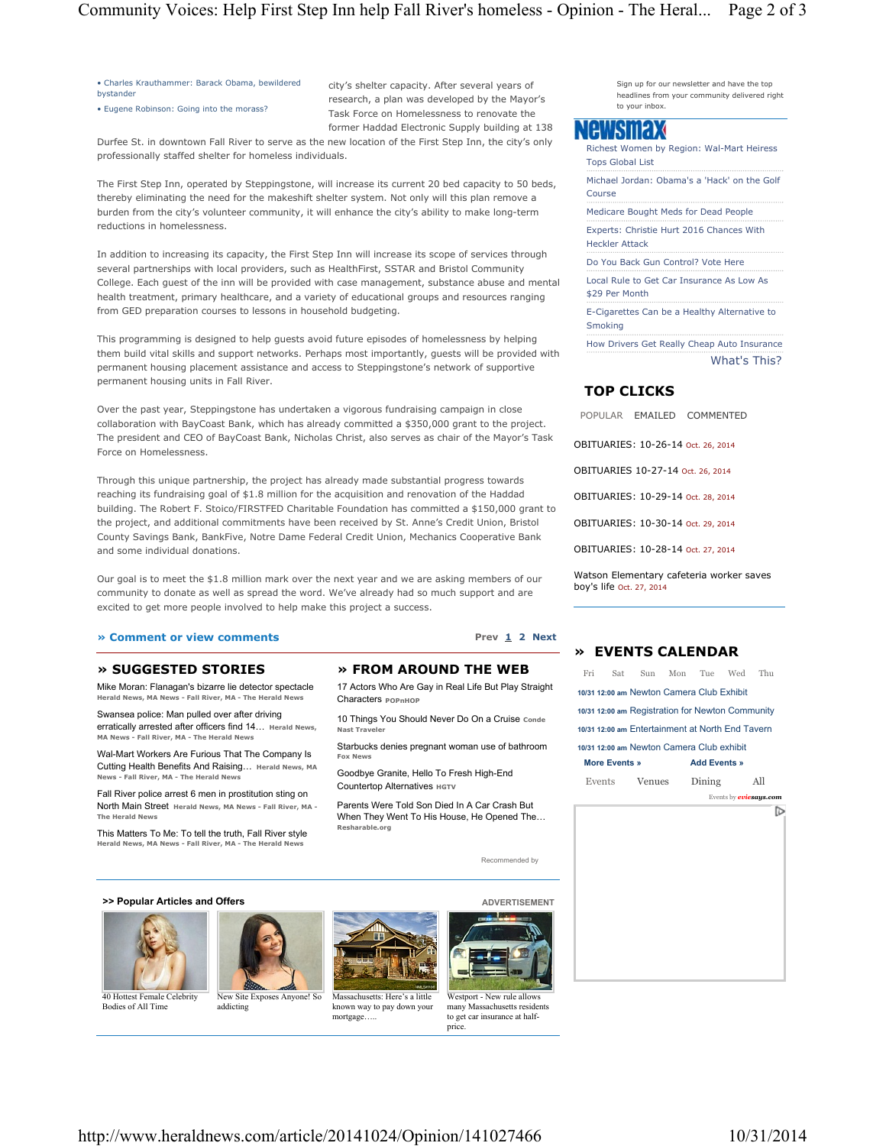• Charles Krauthammer: Barack Obama, bewildered bystander

• Eugene Robinson: Going into the morass?

city's shelter capacity. After several years of research, a plan was developed by the Mayor's Task Force on Homelessness to renovate the former Haddad Electronic Supply building at 138

Durfee St. in downtown Fall River to serve as the new location of the First Step Inn, the city's only professionally staffed shelter for homeless individuals.

The First Step Inn, operated by Steppingstone, will increase its current 20 bed capacity to 50 beds, thereby eliminating the need for the makeshift shelter system. Not only will this plan remove a burden from the city's volunteer community, it will enhance the city's ability to make long-term reductions in homelessness.

In addition to increasing its capacity, the First Step Inn will increase its scope of services through several partnerships with local providers, such as HealthFirst, SSTAR and Bristol Community College. Each guest of the inn will be provided with case management, substance abuse and mental health treatment, primary healthcare, and a variety of educational groups and resources ranging from GED preparation courses to lessons in household budgeting.

This programming is designed to help guests avoid future episodes of homelessness by helping them build vital skills and support networks. Perhaps most importantly, guests will be provided with permanent housing placement assistance and access to Steppingstone's network of supportive permanent housing units in Fall River.

Over the past year, Steppingstone has undertaken a vigorous fundraising campaign in close collaboration with BayCoast Bank, which has already committed a \$350,000 grant to the project. The president and CEO of BayCoast Bank, Nicholas Christ, also serves as chair of the Mayor's Task Force on Homelessness.

Through this unique partnership, the project has already made substantial progress towards reaching its fundraising goal of \$1.8 million for the acquisition and renovation of the Haddad building. The Robert F. Stoico/FIRSTFED Charitable Foundation has committed a \$150,000 grant to the project, and additional commitments have been received by St. Anne's Credit Union, Bristol County Savings Bank, BankFive, Notre Dame Federal Credit Union, Mechanics Cooperative Bank and some individual donations.

Our goal is to meet the \$1.8 million mark over the next year and we are asking members of our community to donate as well as spread the word. We've already had so much support and are excited to get more people involved to help make this project a success.

#### **» Comment or view comments Prev 1 2 Next**

### **» SUGGESTED STORIES**

Mike Moran: Flanagan's bizarre lie detector spectacle **Herald News, MA News - Fall River, MA - The Herald News**

Swansea police: Man pulled over after driving erratically arrested after officers find 14… **Herald News, MA News - Fall River, MA - The Herald News**

Wal-Mart Workers Are Furious That The Company Is Cutting Health Benefits And Raising… **Herald News, MA News - Fall River, MA - The Herald News**

Fall River police arrest 6 men in prostitution sting on North Main Street **Herald News, MA News - Fall River, MA - The Herald New** 

This Matters To Me: To tell the truth, Fall River style **Herald News, MA News - Fall River, MA - The Herald News**

#### **» FROM AROUND THE WEB**

17 Actors Who Are Gay in Real Life But Play Straight Characters **POPnHOP**

10 Things You Should Never Do On a Cruise **Conde Nast Travel** 

Starbucks denies pregnant woman use of bathroom **Fox News**

Goodbye Granite, Hello To Fresh High-End Countertop Alternatives **HGTV** 

Parents Were Told Son Died In A Car Crash But When They Went To His House, He Opened The… **Resharable.org**

Sign up for our newsletter and have the top headlines from your community delivered right to your inbox

Richest Women by Region: Wal-Mart Heiress Tops Global List

Michael Jordan: Obama's a 'Hack' on the Golf Course

Medicare Bought Meds for Dead People

Experts: Christie Hurt 2016 Chances With Heckler Attack

Do You Back Gun Control? Vote Here

Local Rule to Get Car Insurance As Low As \$29 Per Month

E-Cigarettes Can be a Healthy Alternative to Smoking

How Drivers Get Really Cheap Auto Insurance What's This?

# **TOP CLICKS**

POPULAR EMAILED COMMENTED OBITUARIES: 10-26-14 Oct. 26, 2014 OBITUARIES 10-27-14 Oct. 26, 2014 OBITUARIES: 10-29-14 Oct. 28, 2014 OBITUARIES: 10-30-14 Oct. 29, 2014 OBITUARIES: 10-28-14 Oct. 27, 2014

Watson Elementary cafeteria worker saves boy's life Oct. 27, 2014

## **» EVENTS CALENDAR**

|                                           |  | Fri Sat Sun Mon Tue Wed Thu                      |  |                     |                               |     |  |
|-------------------------------------------|--|--------------------------------------------------|--|---------------------|-------------------------------|-----|--|
|                                           |  | 10/31 12:00 am Newton Camera Club Exhibit        |  |                     |                               |     |  |
|                                           |  | 10/31 12:00 am Registration for Newton Community |  |                     |                               |     |  |
|                                           |  | 10/31 12:00 am Entertainment at North End Tavern |  |                     |                               |     |  |
| 10/31 12:00 am Newton Camera Club exhibit |  |                                                  |  |                     |                               |     |  |
| <b>More Events »</b>                      |  |                                                  |  | <b>Add Events »</b> |                               |     |  |
|                                           |  | Events Venues Dining                             |  |                     |                               | All |  |
|                                           |  |                                                  |  |                     | Events by <b>eviesays.com</b> |     |  |
|                                           |  |                                                  |  |                     |                               |     |  |
|                                           |  |                                                  |  |                     |                               |     |  |
|                                           |  |                                                  |  |                     |                               |     |  |

**>> Popular Articles and Offers ADVERTISEMENT** 



40 Hottest Female Celebrity Bodies of All Time



addicting

Massachusetts: Here's a little known way to pay down your

mortgage.



Recommended by

Westport - New rule allows many Massachusetts residents to get car insurance at halfprice.